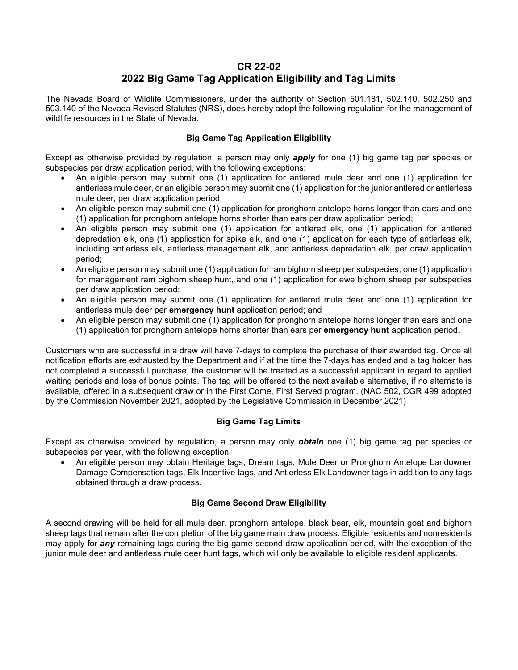# **CR 22-02 2022 Big Game Tag Application Eligibility and Tag Limits**

 The Nevada Board of Wildlife Commissioners, under the authority of Section 501.181, 502.140, 502.250 and 503.140 of the Nevada Revised Statutes (NRS), does hereby adopt the following regulation for the management of wildlife resources in the State of Nevada.

## **Big Game Tag Application Eligibility**

Except as otherwise provided by regulation, a person may only *apply* for one (1) big game tag per species or subspecies per draw application period, with the following exceptions:

- An eligible person may submit one (1) application for antlered mule deer and one (1) application for antlerless mule deer, or an eligible person may submit one (1) application for the junior antlered or antlerless mule deer, per draw application period;
- An eligible person may submit one (1) application for pronghorn antelope horns longer than ears and one (1) application for pronghorn antelope horns shorter than ears per draw application period;
- depredation elk, one (1) application for spike elk, and one (1) application for each type of antlerless elk, including antlerless elk, antlerless management elk, and antlerless depredation elk, per draw application • An eligible person may submit one (1) application for antlered elk, one (1) application for antlered period;
- for management ram bighorn sheep hunt, and one (1) application for ewe bighorn sheep per subspecies • An eligible person may submit one (1) application for ram bighorn sheep per subspecies, one (1) application per draw application period;
- An eligible person may submit one (1) application for antlered mule deer and one (1) application for antlerless mule deer per **emergency hunt** application period; and
- An eligible person may submit one (1) application for pronghorn antelope horns longer than ears and one (1) application for pronghorn antelope horns shorter than ears per **emergency hunt** application period.

 Customers who are successful in a draw will have 7-days to complete the purchase of their awarded tag. Once all notification efforts are exhausted by the Department and if at the time the 7-days has ended and a tag holder has not completed a successful purchase, the customer will be treated as a successful applicant in regard to applied waiting periods and loss of bonus points. The tag will be offered to the next available alternative, if no alternate is available, offered in a subsequent draw or in the First Come, First Served program. (NAC 502, CGR 499 adopted by the Commission November 2021, adopted by the Legislative Commission in December 2021)

## **Big Game Tag Limits**

Except as otherwise provided by regulation, a person may only *obtain* one (1) big game tag per species or subspecies per year, with the following exception:

 • An eligible person may obtain Heritage tags, Dream tags, Mule Deer or Pronghorn Antelope Landowner Damage Compensation tags, Elk Incentive tags, and Antlerless Elk Landowner tags in addition to any tags obtained through a draw process.

## **Big Game Second Draw Eligibility**

 A second drawing will be held for all mule deer, pronghorn antelope, black bear, elk, mountain goat and bighorn may apply for *any* remaining tags during the big game second draw application period, with the exception of the junior mule deer and antlerless mule deer hunt tags, which will only be available to eligible resident applicants. sheep tags that remain after the completion of the big game main draw process. Eligible residents and nonresidents